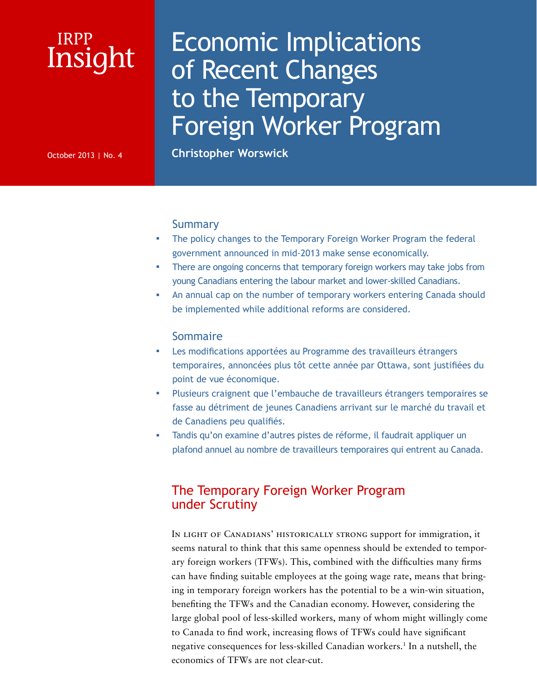# Insight IRPP

# Economic Implications of Recent Changes to the Temporary Foreign Worker Program

October 2013 | No. 4 **Christopher Worswick**

## **Summary**

- The policy changes to the Temporary Foreign Worker Program the federal government announced in mid-2013 make sense economically.
- There are ongoing concerns that temporary foreign workers may take jobs from young Canadians entering the labour market and lower-skilled Canadians.
- An annual cap on the number of temporary workers entering Canada should be implemented while additional reforms are considered.

## Sommaire

- Les modifications apportées au Programme des travailleurs étrangers temporaires, annoncées plus tôt cette année par Ottawa, sont justifiées du point de vue économique.
- Plusieurs craignent que l'embauche de travailleurs étrangers temporaires se fasse au détriment de jeunes Canadiens arrivant sur le marché du travail et de Canadiens peu qualifiés.
- Tandis qu'on examine d'autres pistes de réforme, il faudrait appliquer un plafond annuel au nombre de travailleurs temporaires qui entrent au Canada.

# The Temporary Foreign Worker Program under Scrutiny

In light of Canadians' historically strong support for immigration, it seems natural to think that this same openness should be extended to temporary foreign workers (TFWs). This, combined with the difficulties many firms can have finding suitable employees at the going wage rate, means that bringing in temporary foreign workers has the potential to be a win-win situation, benefiting the TFWs and the Canadian economy. However, considering the large global pool of less-skilled workers, many of whom might willingly come to Canada to find work, increasing flows of TFWs could have significant negative consequences for less-skilled Canadian workers.1 In a nutshell, the economics of TFWs are not clear-cut.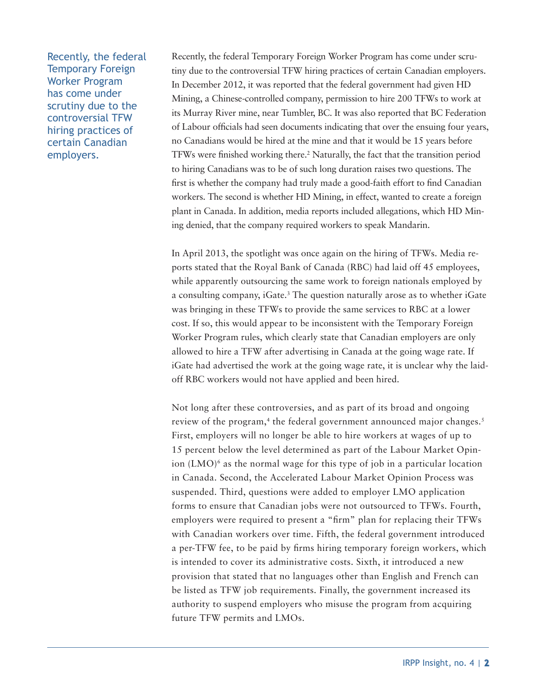Recently, the federal Temporary Foreign Worker Program has come under scrutiny due to the controversial TFW hiring practices of certain Canadian employers.

Recently, the federal Temporary Foreign Worker Program has come under scrutiny due to the controversial TFW hiring practices of certain Canadian employers. In December 2012, it was reported that the federal government had given HD Mining, a Chinese-controlled company, permission to hire 200 TFWs to work at its Murray River mine, near Tumbler, BC. It was also reported that BC Federation of Labour officials had seen documents indicating that over the ensuing four years, no Canadians would be hired at the mine and that it would be 15 years before TFWs were finished working there.2 Naturally, the fact that the transition period to hiring Canadians was to be of such long duration raises two questions. The first is whether the company had truly made a good-faith effort to find Canadian workers. The second is whether HD Mining, in effect, wanted to create a foreign plant in Canada. In addition, media reports included allegations, which HD Mining denied, that the company required workers to speak Mandarin.

In April 2013, the spotlight was once again on the hiring of TFWs. Media reports stated that the Royal Bank of Canada (RBC) had laid off 45 employees, while apparently outsourcing the same work to foreign nationals employed by a consulting company, iGate.<sup>3</sup> The question naturally arose as to whether iGate was bringing in these TFWs to provide the same services to RBC at a lower cost. If so, this would appear to be inconsistent with the Temporary Foreign Worker Program rules, which clearly state that Canadian employers are only allowed to hire a TFW after advertising in Canada at the going wage rate. If iGate had advertised the work at the going wage rate, it is unclear why the laidoff RBC workers would not have applied and been hired.

Not long after these controversies, and as part of its broad and ongoing review of the program,<sup>4</sup> the federal government announced major changes.<sup>5</sup> First, employers will no longer be able to hire workers at wages of up to 15 percent below the level determined as part of the Labour Market Opinion  $(LMO)^6$  as the normal wage for this type of job in a particular location in Canada. Second, the Accelerated Labour Market Opinion Process was suspended. Third, questions were added to employer LMO application forms to ensure that Canadian jobs were not outsourced to TFWs. Fourth, employers were required to present a "firm" plan for replacing their TFWs with Canadian workers over time. Fifth, the federal government introduced a per-TFW fee, to be paid by firms hiring temporary foreign workers, which is intended to cover its administrative costs. Sixth, it introduced a new provision that stated that no languages other than English and French can be listed as TFW job requirements. Finally, the government increased its authority to suspend employers who misuse the program from acquiring future TFW permits and LMOs.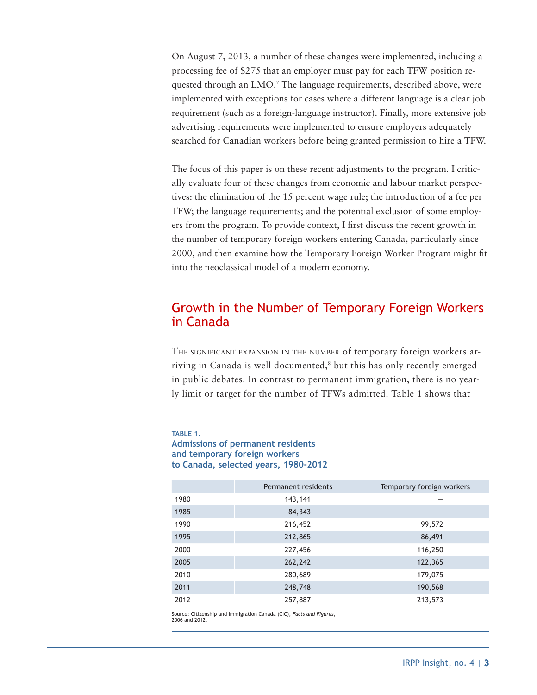On August 7, 2013, a number of these changes were implemented, including a processing fee of \$275 that an employer must pay for each TFW position requested through an LMO.<sup>7</sup> The language requirements, described above, were implemented with exceptions for cases where a different language is a clear job requirement (such as a foreign-language instructor). Finally, more extensive job advertising requirements were implemented to ensure employers adequately searched for Canadian workers before being granted permission to hire a TFW.

The focus of this paper is on these recent adjustments to the program. I critically evaluate four of these changes from economic and labour market perspectives: the elimination of the 15 percent wage rule; the introduction of a fee per TFW; the language requirements; and the potential exclusion of some employers from the program. To provide context, I first discuss the recent growth in the number of temporary foreign workers entering Canada, particularly since 2000, and then examine how the Temporary Foreign Worker Program might fit into the neoclassical model of a modern economy.

# Growth in the Number of Temporary Foreign Workers in Canada

THE SIGNIFICANT EXPANSION IN THE NUMBER of temporary foreign workers arriving in Canada is well documented,<sup>8</sup> but this has only recently emerged in public debates. In contrast to permanent immigration, there is no yearly limit or target for the number of TFWs admitted. Table 1 shows that

**Admissions of permanent residents and temporary foreign workers to Canada, selected years, 1980-2012** 

|      | Permanent residents | Temporary foreign workers |  |
|------|---------------------|---------------------------|--|
| 1980 | 143,141             |                           |  |
| 1985 | 84,343              |                           |  |
| 1990 | 216,452             | 99,572                    |  |
| 1995 | 212,865             | 86,491                    |  |
| 2000 | 227,456             | 116,250                   |  |
| 2005 | 262,242             | 122,365                   |  |
| 2010 | 280,689             | 179,075                   |  |
| 2011 | 248,748             | 190,568                   |  |
| 2012 | 257,887             | 213,573                   |  |

Source: Citizenship and Immigration Canada (CIC), *Facts and Figures*, 2006 and 2012.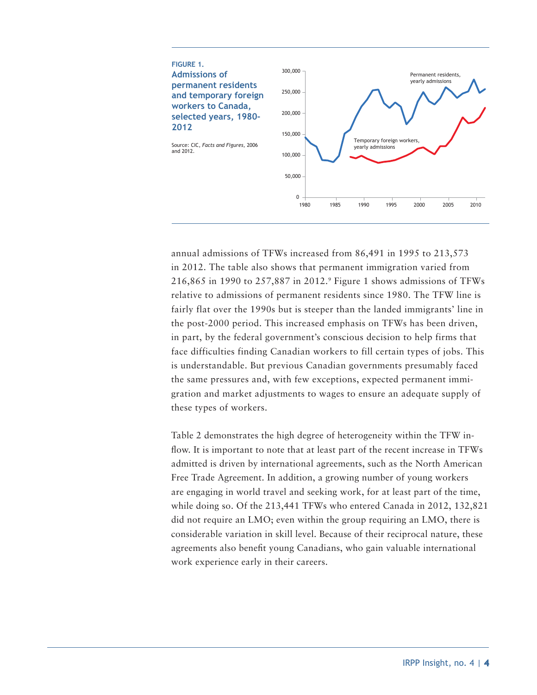

annual admissions of TFWs increased from 86,491 in 1995 to 213,573 in 2012. The table also shows that permanent immigration varied from 216,865 in 1990 to 257,887 in 2012.9 Figure 1 shows admissions of TFWs relative to admissions of permanent residents since 1980. The TFW line is fairly flat over the 1990s but is steeper than the landed immigrants' line in the post-2000 period. This increased emphasis on TFWs has been driven, in part, by the federal government's conscious decision to help firms that face difficulties finding Canadian workers to fill certain types of jobs. This is understandable. But previous Canadian governments presumably faced the same pressures and, with few exceptions, expected permanent immigration and market adjustments to wages to ensure an adequate supply of these types of workers.

Table 2 demonstrates the high degree of heterogeneity within the TFW inflow. It is important to note that at least part of the recent increase in TFWs admitted is driven by international agreements, such as the North American Free Trade Agreement. In addition, a growing number of young workers are engaging in world travel and seeking work, for at least part of the time, while doing so. Of the 213,441 TFWs who entered Canada in 2012, 132,821 did not require an LMO; even within the group requiring an LMO, there is considerable variation in skill level. Because of their reciprocal nature, these agreements also benefit young Canadians, who gain valuable international work experience early in their careers.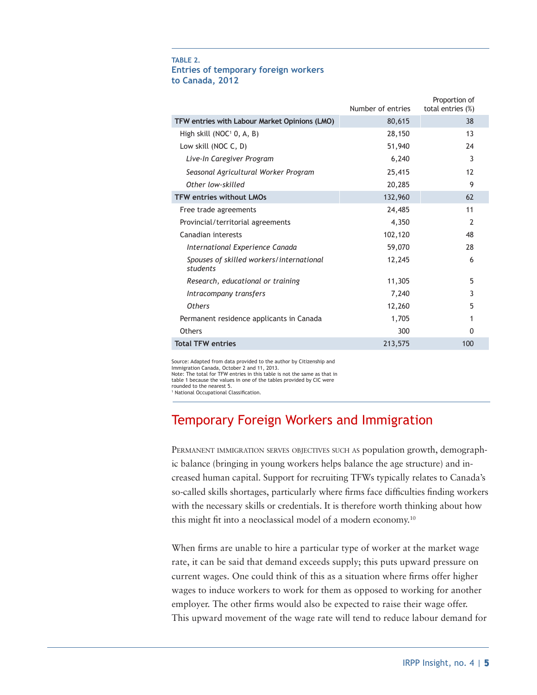#### **TABLE 2. Entries of temporary foreign workers to Canada, 2012**

|                                                      | Number of entries | Proportion of<br>total entries (%) |
|------------------------------------------------------|-------------------|------------------------------------|
| TFW entries with Labour Market Opinions (LMO)        | 80,615            | 38                                 |
| High skill (NOC <sup>1</sup> 0, A, B)                | 28,150            | 13                                 |
| Low skill (NOC C, D)                                 | 51,940            | 24                                 |
| Live-In Caregiver Program                            | 6,240             | 3                                  |
| Seasonal Agricultural Worker Program                 | 25,415            | 12                                 |
| Other low-skilled                                    | 20,285            | 9                                  |
| <b>TFW entries without LMOs</b>                      | 132,960           | 62                                 |
| Free trade agreements                                | 24,485            | 11                                 |
| Provincial/territorial agreements                    | 4,350             | 2                                  |
| Canadian interests                                   | 102,120           | 48                                 |
| International Experience Canada                      | 59,070            | 28                                 |
| Spouses of skilled workers/international<br>students | 12,245            | 6                                  |
| Research, educational or training                    | 11,305            | 5                                  |
| Intracompany transfers                               | 7,240             | 3                                  |
| Others                                               | 12,260            | 5                                  |
| Permanent residence applicants in Canada             | 1,705             |                                    |
| <b>Others</b>                                        | 300               | <sup>0</sup>                       |
| <b>Total TFW entries</b>                             | 213,575           | 100                                |
|                                                      |                   |                                    |

Source: Adapted from data provided to the author by Citizenship and Immigration Canada, October 2 and 11, 2013. Note: The total for TFW entries in this table is not the same as that in table 1 because the values in one of the tables provided by CIC were

rounded to the nearest 5. 1 National Occupational Classification.

# Temporary Foreign Workers and Immigration

PERMANENT IMMIGRATION SERVES OBJECTIVES SUCH AS population growth, demographic balance (bringing in young workers helps balance the age structure) and increased human capital. Support for recruiting TFWs typically relates to Canada's so-called skills shortages, particularly where firms face difficulties finding workers with the necessary skills or credentials. It is therefore worth thinking about how this might fit into a neoclassical model of a modern economy.10

When firms are unable to hire a particular type of worker at the market wage rate, it can be said that demand exceeds supply; this puts upward pressure on current wages. One could think of this as a situation where firms offer higher wages to induce workers to work for them as opposed to working for another employer. The other firms would also be expected to raise their wage offer. This upward movement of the wage rate will tend to reduce labour demand for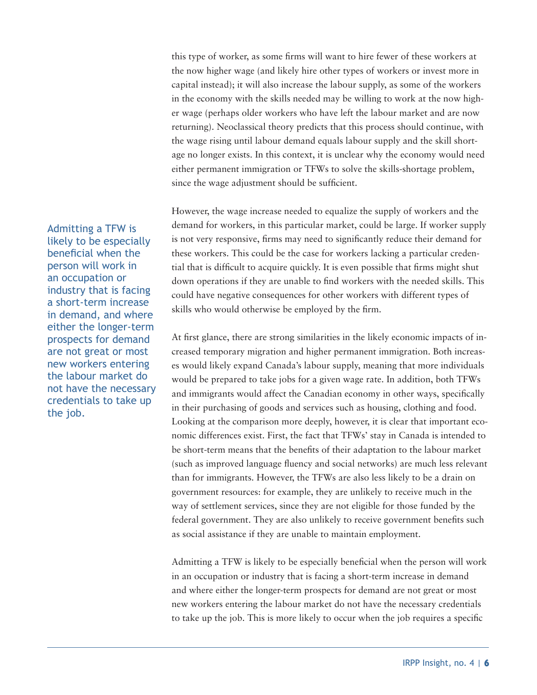this type of worker, as some firms will want to hire fewer of these workers at the now higher wage (and likely hire other types of workers or invest more in capital instead); it will also increase the labour supply, as some of the workers in the economy with the skills needed may be willing to work at the now higher wage (perhaps older workers who have left the labour market and are now returning). Neoclassical theory predicts that this process should continue, with the wage rising until labour demand equals labour supply and the skill shortage no longer exists. In this context, it is unclear why the economy would need either permanent immigration or TFWs to solve the skills-shortage problem, since the wage adjustment should be sufficient.

However, the wage increase needed to equalize the supply of workers and the demand for workers, in this particular market, could be large. If worker supply is not very responsive, firms may need to significantly reduce their demand for these workers. This could be the case for workers lacking a particular credential that is difficult to acquire quickly. It is even possible that firms might shut down operations if they are unable to find workers with the needed skills. This could have negative consequences for other workers with different types of skills who would otherwise be employed by the firm.

At first glance, there are strong similarities in the likely economic impacts of increased temporary migration and higher permanent immigration. Both increases would likely expand Canada's labour supply, meaning that more individuals would be prepared to take jobs for a given wage rate. In addition, both TFWs and immigrants would affect the Canadian economy in other ways, specifically in their purchasing of goods and services such as housing, clothing and food. Looking at the comparison more deeply, however, it is clear that important economic differences exist. First, the fact that TFWs' stay in Canada is intended to be short-term means that the benefits of their adaptation to the labour market (such as improved language fluency and social networks) are much less relevant than for immigrants. However, the TFWs are also less likely to be a drain on government resources: for example, they are unlikely to receive much in the way of settlement services, since they are not eligible for those funded by the federal government. They are also unlikely to receive government benefits such as social assistance if they are unable to maintain employment.

Admitting a TFW is likely to be especially beneficial when the person will work in an occupation or industry that is facing a short-term increase in demand and where either the longer-term prospects for demand are not great or most new workers entering the labour market do not have the necessary credentials to take up the job. This is more likely to occur when the job requires a specific

Admitting a TFW is likely to be especially beneficial when the person will work in an occupation or industry that is facing a short-term increase in demand, and where either the longer-term prospects for demand are not great or most new workers entering the labour market do not have the necessary credentials to take up the job.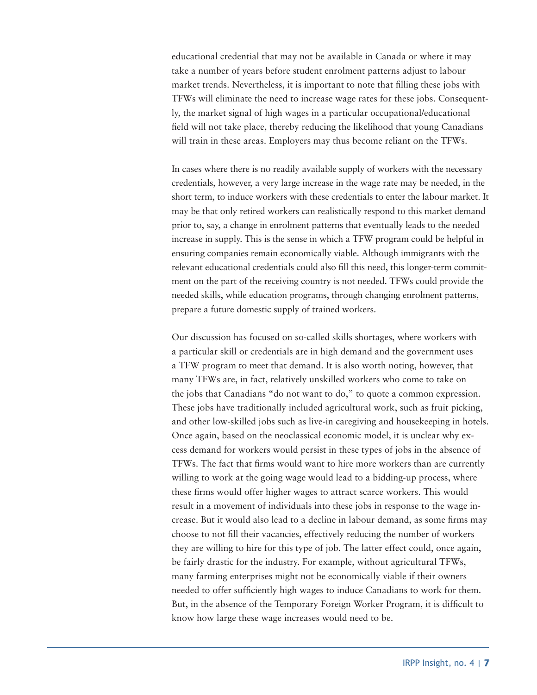educational credential that may not be available in Canada or where it may take a number of years before student enrolment patterns adjust to labour market trends. Nevertheless, it is important to note that filling these jobs with TFWs will eliminate the need to increase wage rates for these jobs. Consequently, the market signal of high wages in a particular occupational/educational field will not take place, thereby reducing the likelihood that young Canadians will train in these areas. Employers may thus become reliant on the TFWs.

In cases where there is no readily available supply of workers with the necessary credentials, however, a very large increase in the wage rate may be needed, in the short term, to induce workers with these credentials to enter the labour market. It may be that only retired workers can realistically respond to this market demand prior to, say, a change in enrolment patterns that eventually leads to the needed increase in supply. This is the sense in which a TFW program could be helpful in ensuring companies remain economically viable. Although immigrants with the relevant educational credentials could also fill this need, this longer-term commitment on the part of the receiving country is not needed. TFWs could provide the needed skills, while education programs, through changing enrolment patterns, prepare a future domestic supply of trained workers.

Our discussion has focused on so-called skills shortages, where workers with a particular skill or credentials are in high demand and the government uses a TFW program to meet that demand. It is also worth noting, however, that many TFWs are, in fact, relatively unskilled workers who come to take on the jobs that Canadians "do not want to do," to quote a common expression. These jobs have traditionally included agricultural work, such as fruit picking, and other low-skilled jobs such as live-in caregiving and housekeeping in hotels. Once again, based on the neoclassical economic model, it is unclear why excess demand for workers would persist in these types of jobs in the absence of TFWs. The fact that firms would want to hire more workers than are currently willing to work at the going wage would lead to a bidding-up process, where these firms would offer higher wages to attract scarce workers. This would result in a movement of individuals into these jobs in response to the wage increase. But it would also lead to a decline in labour demand, as some firms may choose to not fill their vacancies, effectively reducing the number of workers they are willing to hire for this type of job. The latter effect could, once again, be fairly drastic for the industry. For example, without agricultural TFWs, many farming enterprises might not be economically viable if their owners needed to offer sufficiently high wages to induce Canadians to work for them. But, in the absence of the Temporary Foreign Worker Program, it is difficult to know how large these wage increases would need to be.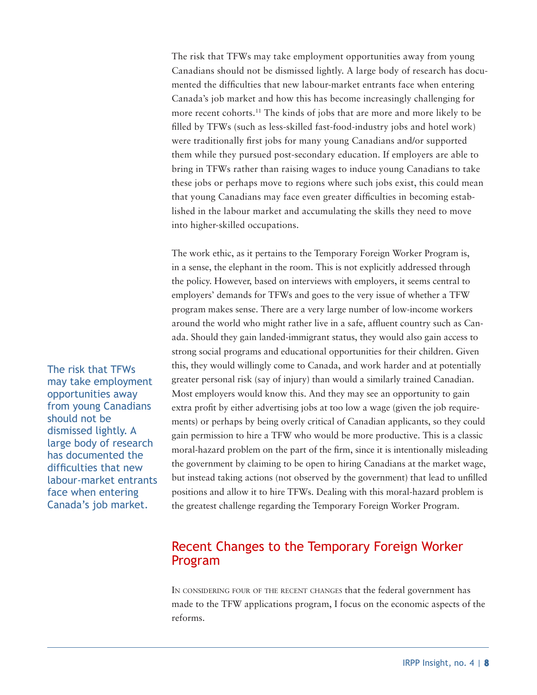The risk that TFWs may take employment opportunities away from young Canadians should not be dismissed lightly. A large body of research has documented the difficulties that new labour-market entrants face when entering Canada's job market and how this has become increasingly challenging for more recent cohorts.<sup>11</sup> The kinds of jobs that are more and more likely to be filled by TFWs (such as less-skilled fast-food-industry jobs and hotel work) were traditionally first jobs for many young Canadians and/or supported them while they pursued post-secondary education. If employers are able to bring in TFWs rather than raising wages to induce young Canadians to take these jobs or perhaps move to regions where such jobs exist, this could mean that young Canadians may face even greater difficulties in becoming established in the labour market and accumulating the skills they need to move into higher-skilled occupations.

The work ethic, as it pertains to the Temporary Foreign Worker Program is, in a sense, the elephant in the room. This is not explicitly addressed through the policy. However, based on interviews with employers, it seems central to employers' demands for TFWs and goes to the very issue of whether a TFW program makes sense. There are a very large number of low-income workers around the world who might rather live in a safe, affluent country such as Canada. Should they gain landed-immigrant status, they would also gain access to strong social programs and educational opportunities for their children. Given this, they would willingly come to Canada, and work harder and at potentially greater personal risk (say of injury) than would a similarly trained Canadian. Most employers would know this. And they may see an opportunity to gain extra profit by either advertising jobs at too low a wage (given the job requirements) or perhaps by being overly critical of Canadian applicants, so they could gain permission to hire a TFW who would be more productive. This is a classic moral-hazard problem on the part of the firm, since it is intentionally misleading the government by claiming to be open to hiring Canadians at the market wage, but instead taking actions (not observed by the government) that lead to unfilled positions and allow it to hire TFWs. Dealing with this moral-hazard problem is the greatest challenge regarding the Temporary Foreign Worker Program.

# Recent Changes to the Temporary Foreign Worker Program

In considering four of the recent changes that the federal government has made to the TFW applications program, I focus on the economic aspects of the reforms.

The risk that TFWs may take employment opportunities away from young Canadians should not be dismissed lightly. A large body of research has documented the difficulties that new labour-market entrants face when entering Canada's job market.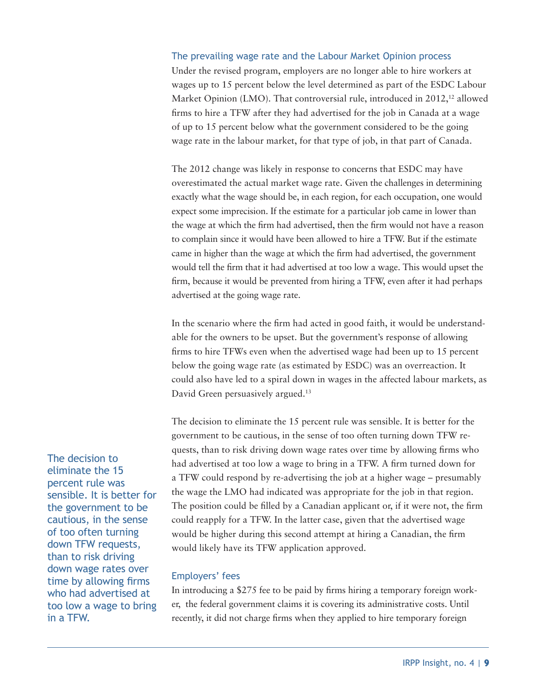# The prevailing wage rate and the Labour Market Opinion process Under the revised program, employers are no longer able to hire workers at wages up to 15 percent below the level determined as part of the ESDC Labour Market Opinion (LMO). That controversial rule, introduced in 2012,<sup>12</sup> allowed firms to hire a TFW after they had advertised for the job in Canada at a wage of up to 15 percent below what the government considered to be the going wage rate in the labour market, for that type of job, in that part of Canada.

The 2012 change was likely in response to concerns that ESDC may have overestimated the actual market wage rate. Given the challenges in determining exactly what the wage should be, in each region, for each occupation, one would expect some imprecision. If the estimate for a particular job came in lower than the wage at which the firm had advertised, then the firm would not have a reason to complain since it would have been allowed to hire a TFW. But if the estimate came in higher than the wage at which the firm had advertised, the government would tell the firm that it had advertised at too low a wage. This would upset the firm, because it would be prevented from hiring a TFW, even after it had perhaps advertised at the going wage rate.

In the scenario where the firm had acted in good faith, it would be understandable for the owners to be upset. But the government's response of allowing firms to hire TFWs even when the advertised wage had been up to 15 percent below the going wage rate (as estimated by ESDC) was an overreaction. It could also have led to a spiral down in wages in the affected labour markets, as David Green persuasively argued.<sup>13</sup>

The decision to eliminate the 15 percent rule was sensible. It is better for the government to be cautious, in the sense of too often turning down TFW requests, than to risk driving down wage rates over time by allowing firms who had advertised at too low a wage to bring in a TFW. A firm turned down for a TFW could respond by re-advertising the job at a higher wage – presumably the wage the LMO had indicated was appropriate for the job in that region. The position could be filled by a Canadian applicant or, if it were not, the firm could reapply for a TFW. In the latter case, given that the advertised wage would be higher during this second attempt at hiring a Canadian, the firm would likely have its TFW application approved.

## Employers' fees

In introducing a \$275 fee to be paid by firms hiring a temporary foreign worker, the federal government claims it is covering its administrative costs. Until recently, it did not charge firms when they applied to hire temporary foreign

The decision to eliminate the 15 percent rule was sensible. It is better for the government to be cautious, in the sense of too often turning down TFW requests, than to risk driving down wage rates over time by allowing firms who had advertised at too low a wage to bring in a TFW.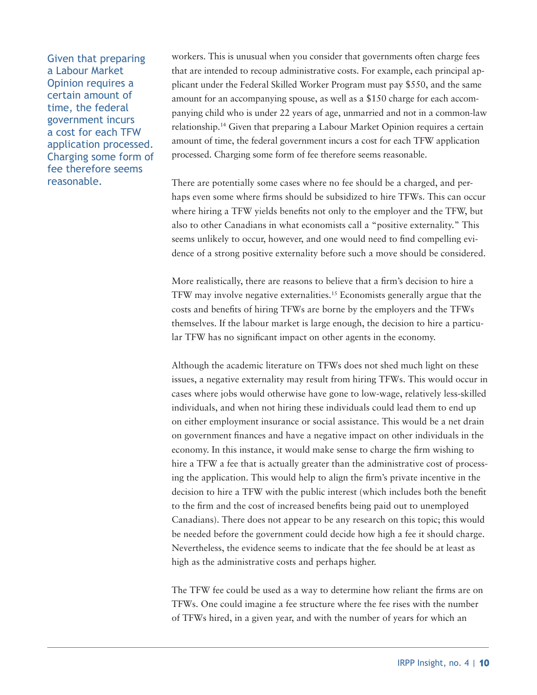Given that preparing a Labour Market Opinion requires a certain amount of time, the federal government incurs a cost for each TFW application processed. Charging some form of fee therefore seems reasonable.

workers. This is unusual when you consider that governments often charge fees that are intended to recoup administrative costs. For example, each principal applicant under the Federal Skilled Worker Program must pay \$550, and the same amount for an accompanying spouse, as well as a \$150 charge for each accompanying child who is under 22 years of age, unmarried and not in a common-law relationship.14 Given that preparing a Labour Market Opinion requires a certain amount of time, the federal government incurs a cost for each TFW application processed. Charging some form of fee therefore seems reasonable.

There are potentially some cases where no fee should be a charged, and perhaps even some where firms should be subsidized to hire TFWs. This can occur where hiring a TFW yields benefits not only to the employer and the TFW, but also to other Canadians in what economists call a "positive externality." This seems unlikely to occur, however, and one would need to find compelling evidence of a strong positive externality before such a move should be considered.

More realistically, there are reasons to believe that a firm's decision to hire a TFW may involve negative externalities.15 Economists generally argue that the costs and benefits of hiring TFWs are borne by the employers and the TFWs themselves. If the labour market is large enough, the decision to hire a particular TFW has no significant impact on other agents in the economy.

Although the academic literature on TFWs does not shed much light on these issues, a negative externality may result from hiring TFWs. This would occur in cases where jobs would otherwise have gone to low-wage, relatively less-skilled individuals, and when not hiring these individuals could lead them to end up on either employment insurance or social assistance. This would be a net drain on government finances and have a negative impact on other individuals in the economy. In this instance, it would make sense to charge the firm wishing to hire a TFW a fee that is actually greater than the administrative cost of processing the application. This would help to align the firm's private incentive in the decision to hire a TFW with the public interest (which includes both the benefit to the firm and the cost of increased benefits being paid out to unemployed Canadians). There does not appear to be any research on this topic; this would be needed before the government could decide how high a fee it should charge. Nevertheless, the evidence seems to indicate that the fee should be at least as high as the administrative costs and perhaps higher.

The TFW fee could be used as a way to determine how reliant the firms are on TFWs. One could imagine a fee structure where the fee rises with the number of TFWs hired, in a given year, and with the number of years for which an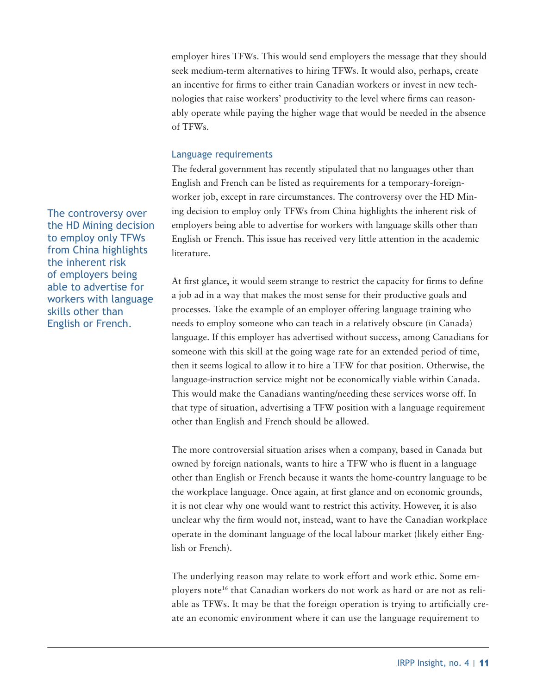employer hires TFWs. This would send employers the message that they should seek medium-term alternatives to hiring TFWs. It would also, perhaps, create an incentive for firms to either train Canadian workers or invest in new technologies that raise workers' productivity to the level where firms can reasonably operate while paying the higher wage that would be needed in the absence of TFWs.

## Language requirements

The federal government has recently stipulated that no languages other than English and French can be listed as requirements for a temporary-foreignworker job, except in rare circumstances. The controversy over the HD Mining decision to employ only TFWs from China highlights the inherent risk of employers being able to advertise for workers with language skills other than English or French. This issue has received very little attention in the academic literature.

At first glance, it would seem strange to restrict the capacity for firms to define a job ad in a way that makes the most sense for their productive goals and processes. Take the example of an employer offering language training who needs to employ someone who can teach in a relatively obscure (in Canada) language. If this employer has advertised without success, among Canadians for someone with this skill at the going wage rate for an extended period of time, then it seems logical to allow it to hire a TFW for that position. Otherwise, the language-instruction service might not be economically viable within Canada. This would make the Canadians wanting/needing these services worse off. In that type of situation, advertising a TFW position with a language requirement other than English and French should be allowed.

The more controversial situation arises when a company, based in Canada but owned by foreign nationals, wants to hire a TFW who is fluent in a language other than English or French because it wants the home-country language to be the workplace language. Once again, at first glance and on economic grounds, it is not clear why one would want to restrict this activity. However, it is also unclear why the firm would not, instead, want to have the Canadian workplace operate in the dominant language of the local labour market (likely either English or French).

The underlying reason may relate to work effort and work ethic. Some employers note<sup>16</sup> that Canadian workers do not work as hard or are not as reliable as TFWs. It may be that the foreign operation is trying to artificially create an economic environment where it can use the language requirement to

The controversy over the HD Mining decision to employ only TFWs from China highlights the inherent risk of employers being able to advertise for workers with language skills other than English or French.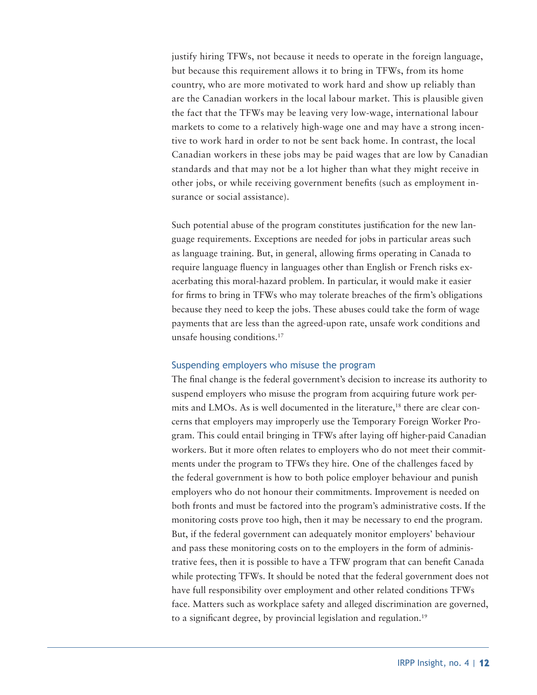justify hiring TFWs, not because it needs to operate in the foreign language, but because this requirement allows it to bring in TFWs, from its home country, who are more motivated to work hard and show up reliably than are the Canadian workers in the local labour market. This is plausible given the fact that the TFWs may be leaving very low-wage, international labour markets to come to a relatively high-wage one and may have a strong incentive to work hard in order to not be sent back home. In contrast, the local Canadian workers in these jobs may be paid wages that are low by Canadian standards and that may not be a lot higher than what they might receive in other jobs, or while receiving government benefits (such as employment insurance or social assistance).

Such potential abuse of the program constitutes justification for the new language requirements. Exceptions are needed for jobs in particular areas such as language training. But, in general, allowing firms operating in Canada to require language fluency in languages other than English or French risks exacerbating this moral-hazard problem. In particular, it would make it easier for firms to bring in TFWs who may tolerate breaches of the firm's obligations because they need to keep the jobs. These abuses could take the form of wage payments that are less than the agreed-upon rate, unsafe work conditions and unsafe housing conditions.17

### Suspending employers who misuse the program

The final change is the federal government's decision to increase its authority to suspend employers who misuse the program from acquiring future work permits and LMOs. As is well documented in the literature,<sup>18</sup> there are clear concerns that employers may improperly use the Temporary Foreign Worker Program. This could entail bringing in TFWs after laying off higher-paid Canadian workers. But it more often relates to employers who do not meet their commitments under the program to TFWs they hire. One of the challenges faced by the federal government is how to both police employer behaviour and punish employers who do not honour their commitments. Improvement is needed on both fronts and must be factored into the program's administrative costs. If the monitoring costs prove too high, then it may be necessary to end the program. But, if the federal government can adequately monitor employers' behaviour and pass these monitoring costs on to the employers in the form of administrative fees, then it is possible to have a TFW program that can benefit Canada while protecting TFWs. It should be noted that the federal government does not have full responsibility over employment and other related conditions TFWs face. Matters such as workplace safety and alleged discrimination are governed, to a significant degree, by provincial legislation and regulation.<sup>19</sup>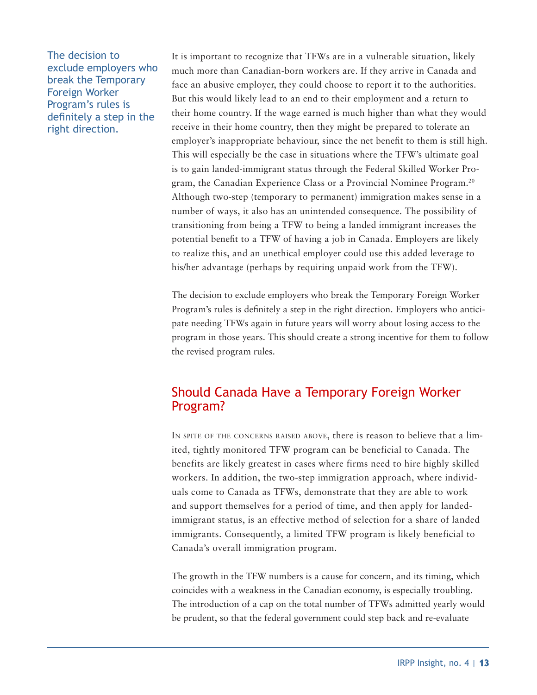The decision to exclude employers who break the Temporary Foreign Worker Program's rules is definitely a step in the right direction.

It is important to recognize that TFWs are in a vulnerable situation, likely much more than Canadian-born workers are. If they arrive in Canada and face an abusive employer, they could choose to report it to the authorities. But this would likely lead to an end to their employment and a return to their home country. If the wage earned is much higher than what they would receive in their home country, then they might be prepared to tolerate an employer's inappropriate behaviour, since the net benefit to them is still high. This will especially be the case in situations where the TFW's ultimate goal is to gain landed-immigrant status through the Federal Skilled Worker Program, the Canadian Experience Class or a Provincial Nominee Program.20 Although two-step (temporary to permanent) immigration makes sense in a number of ways, it also has an unintended consequence. The possibility of transitioning from being a TFW to being a landed immigrant increases the potential benefit to a TFW of having a job in Canada. Employers are likely to realize this, and an unethical employer could use this added leverage to his/her advantage (perhaps by requiring unpaid work from the TFW).

The decision to exclude employers who break the Temporary Foreign Worker Program's rules is definitely a step in the right direction. Employers who anticipate needing TFWs again in future years will worry about losing access to the program in those years. This should create a strong incentive for them to follow the revised program rules.

# Should Canada Have a Temporary Foreign Worker Program?

IN SPITE OF THE CONCERNS RAISED ABOVE, there is reason to believe that a limited, tightly monitored TFW program can be beneficial to Canada. The benefits are likely greatest in cases where firms need to hire highly skilled workers. In addition, the two-step immigration approach, where individuals come to Canada as TFWs, demonstrate that they are able to work and support themselves for a period of time, and then apply for landedimmigrant status, is an effective method of selection for a share of landed immigrants. Consequently, a limited TFW program is likely beneficial to Canada's overall immigration program.

The growth in the TFW numbers is a cause for concern, and its timing, which coincides with a weakness in the Canadian economy, is especially troubling. The introduction of a cap on the total number of TFWs admitted yearly would be prudent, so that the federal government could step back and re-evaluate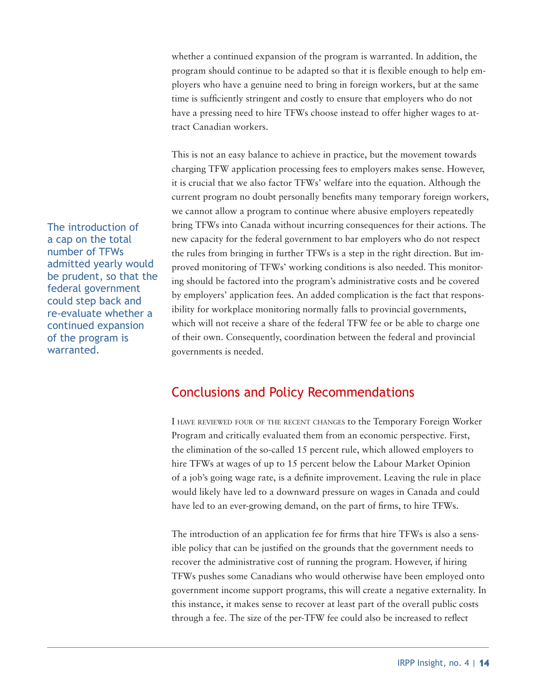whether a continued expansion of the program is warranted. In addition, the program should continue to be adapted so that it is flexible enough to help employers who have a genuine need to bring in foreign workers, but at the same time is sufficiently stringent and costly to ensure that employers who do not have a pressing need to hire TFWs choose instead to offer higher wages to attract Canadian workers.

This is not an easy balance to achieve in practice, but the movement towards charging TFW application processing fees to employers makes sense. However, it is crucial that we also factor TFWs' welfare into the equation. Although the current program no doubt personally benefits many temporary foreign workers, we cannot allow a program to continue where abusive employers repeatedly bring TFWs into Canada without incurring consequences for their actions. The new capacity for the federal government to bar employers who do not respect the rules from bringing in further TFWs is a step in the right direction. But improved monitoring of TFWs' working conditions is also needed. This monitoring should be factored into the program's administrative costs and be covered by employers' application fees. An added complication is the fact that responsibility for workplace monitoring normally falls to provincial governments, which will not receive a share of the federal TFW fee or be able to charge one of their own. Consequently, coordination between the federal and provincial governments is needed.

# Conclusions and Policy Recommendations

I have reviewed four of the recent changes to the Temporary Foreign Worker Program and critically evaluated them from an economic perspective. First, the elimination of the so-called 15 percent rule, which allowed employers to hire TFWs at wages of up to 15 percent below the Labour Market Opinion of a job's going wage rate, is a definite improvement. Leaving the rule in place would likely have led to a downward pressure on wages in Canada and could have led to an ever-growing demand, on the part of firms, to hire TFWs.

The introduction of an application fee for firms that hire TFWs is also a sensible policy that can be justified on the grounds that the government needs to recover the administrative cost of running the program. However, if hiring TFWs pushes some Canadians who would otherwise have been employed onto government income support programs, this will create a negative externality. In this instance, it makes sense to recover at least part of the overall public costs through a fee. The size of the per-TFW fee could also be increased to reflect

The introduction of a cap on the total number of TFWs admitted yearly would be prudent, so that the federal government could step back and re-evaluate whether a continued expansion of the program is warranted.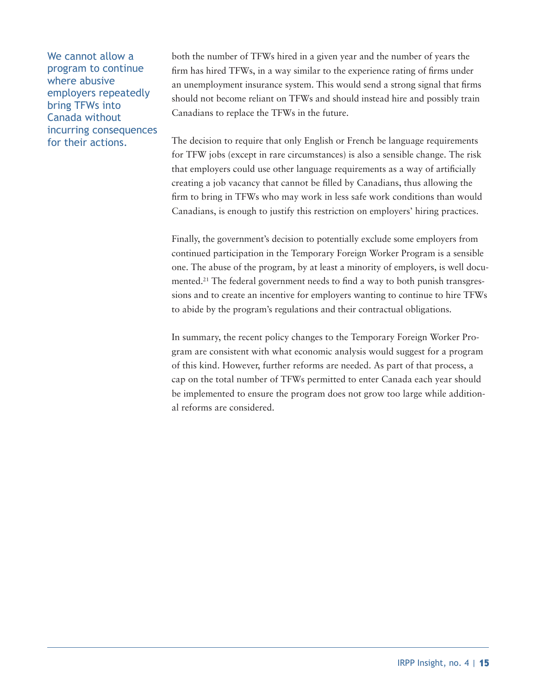We cannot allow a program to continue where abusive employers repeatedly bring TFWs into Canada without incurring consequences for their actions.

both the number of TFWs hired in a given year and the number of years the firm has hired TFWs, in a way similar to the experience rating of firms under an unemployment insurance system. This would send a strong signal that firms should not become reliant on TFWs and should instead hire and possibly train Canadians to replace the TFWs in the future.

The decision to require that only English or French be language requirements for TFW jobs (except in rare circumstances) is also a sensible change. The risk that employers could use other language requirements as a way of artificially creating a job vacancy that cannot be filled by Canadians, thus allowing the firm to bring in TFWs who may work in less safe work conditions than would Canadians, is enough to justify this restriction on employers' hiring practices.

Finally, the government's decision to potentially exclude some employers from continued participation in the Temporary Foreign Worker Program is a sensible one. The abuse of the program, by at least a minority of employers, is well documented.<sup>21</sup> The federal government needs to find a way to both punish transgressions and to create an incentive for employers wanting to continue to hire TFWs to abide by the program's regulations and their contractual obligations.

In summary, the recent policy changes to the Temporary Foreign Worker Program are consistent with what economic analysis would suggest for a program of this kind. However, further reforms are needed. As part of that process, a cap on the total number of TFWs permitted to enter Canada each year should be implemented to ensure the program does not grow too large while additional reforms are considered.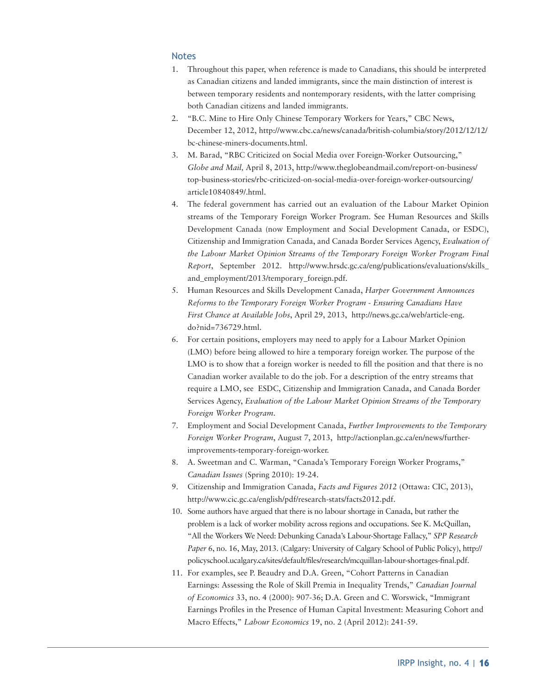#### Notes

- 1. Throughout this paper, when reference is made to Canadians, this should be interpreted as Canadian citizens and landed immigrants, since the main distinction of interest is between temporary residents and nontemporary residents, with the latter comprising both Canadian citizens and landed immigrants.
- 2. "B.C. Mine to Hire Only Chinese Temporary Workers for Years," CBC News, December 12, 2012, http://www.cbc.ca/news/canada/british-columbia/story/2012/12/12/ bc-chinese-miners-documents.html.
- 3. M. Barad, "RBC Criticized on Social Media over Foreign-Worker Outsourcing," *Globe and Mail,* April 8, 2013, http://www.theglobeandmail.com/report-on-business/ top-business-stories/rbc-criticized-on-social-media-over-foreign-worker-outsourcing/ article10840849/.html.
- 4. The federal government has carried out an evaluation of the Labour Market Opinion streams of the Temporary Foreign Worker Program. See Human Resources and Skills Development Canada (now Employment and Social Development Canada, or ESDC), Citizenship and Immigration Canada, and Canada Border Services Agency, *Evaluation of the Labour Market Opinion Streams of the Temporary Foreign Worker Program Final Report*, September 2012. http://www.hrsdc.gc.ca/eng/publications/evaluations/skills\_ and\_employment/2013/temporary\_foreign.pdf.
- 5. Human Resources and Skills Development Canada, *Harper Government Announces Reforms to the Temporary Foreign Worker Program - Ensuring Canadians Have First Chance at Available Jobs*, April 29, 2013, http://news.gc.ca/web/article-eng. do?nid=736729.html.
- 6. For certain positions, employers may need to apply for a Labour Market Opinion (LMO) before being allowed to hire a temporary foreign worker. The purpose of the LMO is to show that a foreign worker is needed to fill the position and that there is no Canadian worker available to do the job. For a description of the entry streams that require a LMO, see ESDC, Citizenship and Immigration Canada, and Canada Border Services Agency, *Evaluation of the Labour Market Opinion Streams of the Temporary Foreign Worker Program*.
- 7. Employment and Social Development Canada, *Further Improvements to the Temporary Foreign Worker Program*, August 7, 2013, http://actionplan.gc.ca/en/news/furtherimprovements-temporary-foreign-worker.
- 8. A. Sweetman and C. Warman, "Canada's Temporary Foreign Worker Programs," *Canadian Issues* (Spring 2010): 19-24.
- 9. Citizenship and Immigration Canada, *Facts and Figures 2012* (Ottawa: CIC, 2013), http://www.cic.gc.ca/english/pdf/research-stats/facts2012.pdf.
- 10. Some authors have argued that there is no labour shortage in Canada, but rather the problem is a lack of worker mobility across regions and occupations. See K. McQuillan, "All the Workers We Need: Debunking Canada's Labour-Shortage Fallacy," *SPP Research Paper* 6, no. 16, May, 2013. (Calgary: University of Calgary School of Public Policy), http:// policyschool.ucalgary.ca/sites/default/files/research/mcquillan-labour-shortages-final.pdf.
- 11. For examples, see P. Beaudry and D.A. Green, "Cohort Patterns in Canadian Earnings: Assessing the Role of Skill Premia in Inequality Trends," *Canadian Journal of Economics* 33, no. 4 (2000): 907-36; D.A. Green and C. Worswick, "Immigrant Earnings Profiles in the Presence of Human Capital Investment: Measuring Cohort and Macro Effects," *Labour Economics* 19, no. 2 (April 2012): 241-59.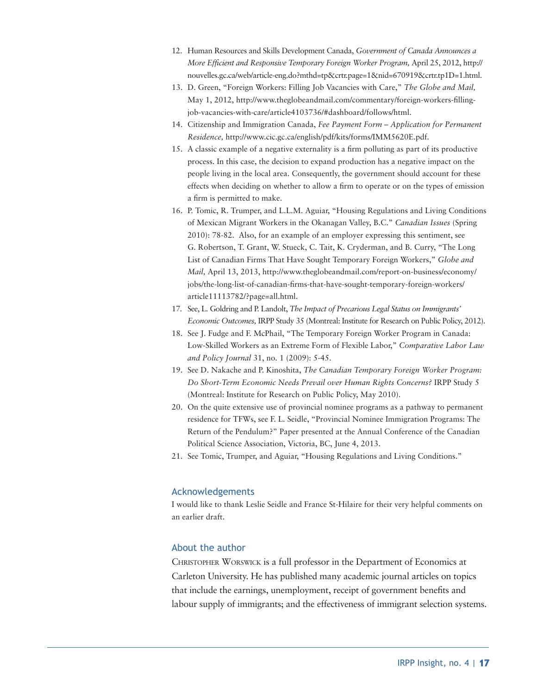- 12. Human Resources and Skills Development Canada, *Government of Canada Announces a More Efficient and Responsive Temporary Foreign Worker Program,* April 25, 2012, http:// nouvelles.gc.ca/web/article-eng.do?mthd=tp&crtr.page=1&nid=670919&crtr.tp1D=1.html.
- 13. D. Green, "Foreign Workers: Filling Job Vacancies with Care," *The Globe and Mail,* May 1, 2012, http://www.theglobeandmail.com/commentary/foreign-workers-fillingjob-vacancies-with-care/article4103736/#dashboard/follows/html.
- 14. Citizenship and Immigration Canada, *Fee Payment Form Application for Permanent Residence,* http://www.cic.gc.ca/english/pdf/kits/forms/IMM5620E.pdf.
- 15. A classic example of a negative externality is a firm polluting as part of its productive process. In this case, the decision to expand production has a negative impact on the people living in the local area. Consequently, the government should account for these effects when deciding on whether to allow a firm to operate or on the types of emission a firm is permitted to make.
- 16. P. Tomic, R. Trumper, and L.L.M. Aguiar, "Housing Regulations and Living Conditions of Mexican Migrant Workers in the Okanagan Valley, B.C." *Canadian Issues* (Spring 2010): 78-82. Also, for an example of an employer expressing this sentiment, see G. Robertson, T. Grant, W. Stueck, C. Tait, K. Cryderman, and B. Curry, "The Long List of Canadian Firms That Have Sought Temporary Foreign Workers," *Globe and Mail,* April 13, 2013, http://www.theglobeandmail.com/report-on-business/economy/ jobs/the-long-list-of-canadian-firms-that-have-sought-temporary-foreign-workers/ article11113782/?page=all.html.
- 17. See, L. Goldring and P. Landolt, *The Impact of Precarious Legal Status on Immigrants' Economic Outcomes,* IRPP Study 35 (Montreal: Institute for Research on Public Policy, 2012).
- 18. See J. Fudge and F. McPhail, "The Temporary Foreign Worker Program in Canada: Low-Skilled Workers as an Extreme Form of Flexible Labor," *Comparative Labor Law and Policy Journal* 31, no. 1 (2009): 5-45.
- 19. See D. Nakache and P. Kinoshita, *The Canadian Temporary Foreign Worker Program: Do Short-Term Economic Needs Prevail over Human Rights Concerns?* IRPP Study 5 (Montreal: Institute for Research on Public Policy, May 2010).
- 20. On the quite extensive use of provincial nominee programs as a pathway to permanent residence for TFWs, see F. L. Seidle, "Provincial Nominee Immigration Programs: The Return of the Pendulum?" Paper presented at the Annual Conference of the Canadian Political Science Association, Victoria, BC, June 4, 2013.
- 21. See Tomic, Trumper, and Aguiar, "Housing Regulations and Living Conditions."

### Acknowledgements

I would like to thank Leslie Seidle and France St-Hilaire for their very helpful comments on an earlier draft.

#### About the author

Christopher Worswick is a full professor in the Department of Economics at Carleton University. He has published many academic journal articles on topics that include the earnings, unemployment, receipt of government benefits and labour supply of immigrants; and the effectiveness of immigrant selection systems.